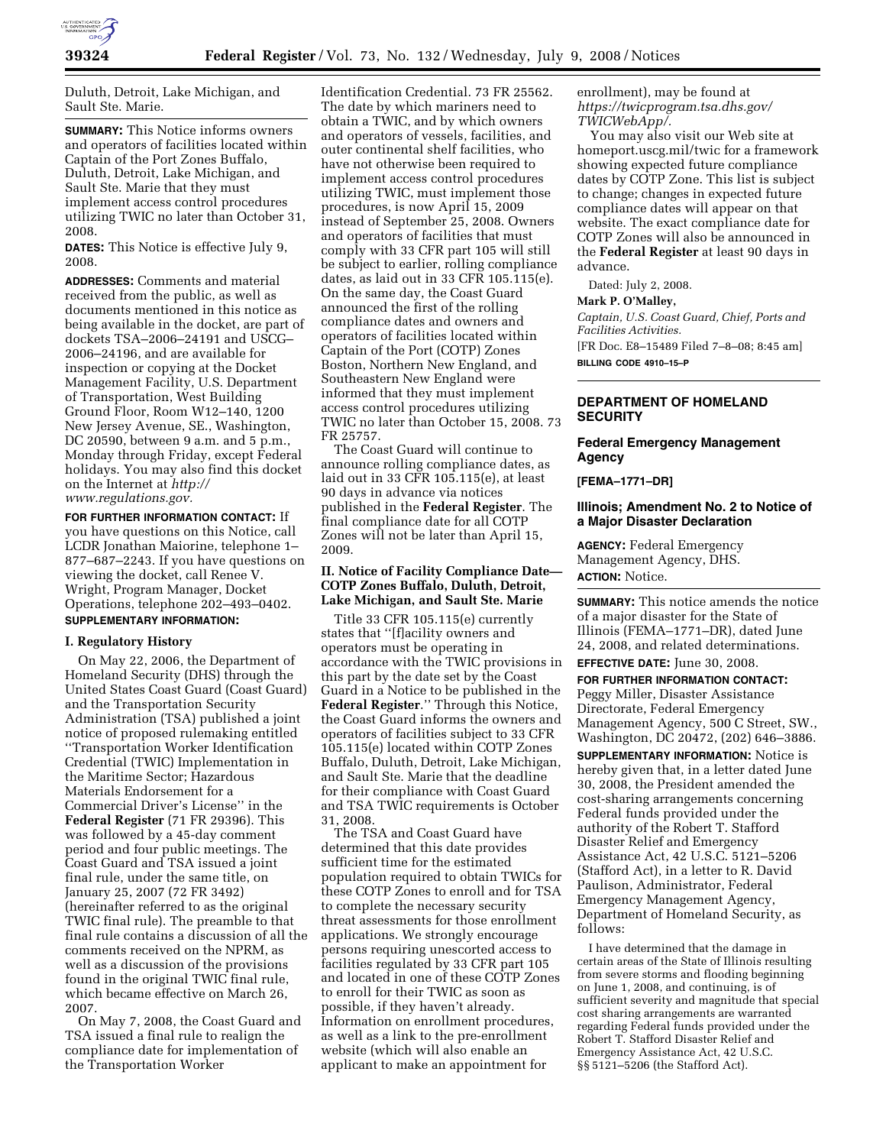

Duluth, Detroit, Lake Michigan, and Sault Ste. Marie.

**SUMMARY:** This Notice informs owners and operators of facilities located within Captain of the Port Zones Buffalo, Duluth, Detroit, Lake Michigan, and Sault Ste. Marie that they must implement access control procedures utilizing TWIC no later than October 31, 2008.

**DATES:** This Notice is effective July 9, 2008.

**ADDRESSES:** Comments and material received from the public, as well as documents mentioned in this notice as being available in the docket, are part of dockets TSA–2006–24191 and USCG– 2006–24196, and are available for inspection or copying at the Docket Management Facility, U.S. Department of Transportation, West Building Ground Floor, Room W12–140, 1200 New Jersey Avenue, SE., Washington, DC 20590, between 9 a.m. and 5 p.m., Monday through Friday, except Federal holidays. You may also find this docket on the Internet at *http:// www.regulations.gov.* 

**FOR FURTHER INFORMATION CONTACT:** If you have questions on this Notice, call LCDR Jonathan Maiorine, telephone 1– 877–687–2243. If you have questions on viewing the docket, call Renee V. Wright, Program Manager, Docket Operations, telephone 202–493–0402. **SUPPLEMENTARY INFORMATION:** 

#### **I. Regulatory History**

On May 22, 2006, the Department of Homeland Security (DHS) through the United States Coast Guard (Coast Guard) and the Transportation Security Administration (TSA) published a joint notice of proposed rulemaking entitled ''Transportation Worker Identification Credential (TWIC) Implementation in the Maritime Sector; Hazardous Materials Endorsement for a Commercial Driver's License'' in the **Federal Register** (71 FR 29396). This was followed by a 45-day comment period and four public meetings. The Coast Guard and TSA issued a joint final rule, under the same title, on January 25, 2007 (72 FR 3492) (hereinafter referred to as the original TWIC final rule). The preamble to that final rule contains a discussion of all the comments received on the NPRM, as well as a discussion of the provisions found in the original TWIC final rule, which became effective on March 26, 2007.

On May 7, 2008, the Coast Guard and TSA issued a final rule to realign the compliance date for implementation of the Transportation Worker

Identification Credential. 73 FR 25562. The date by which mariners need to obtain a TWIC, and by which owners and operators of vessels, facilities, and outer continental shelf facilities, who have not otherwise been required to implement access control procedures utilizing TWIC, must implement those procedures, is now April 15, 2009 instead of September 25, 2008. Owners and operators of facilities that must comply with 33 CFR part 105 will still be subject to earlier, rolling compliance dates, as laid out in 33 CFR 105.115(e). On the same day, the Coast Guard announced the first of the rolling compliance dates and owners and operators of facilities located within Captain of the Port (COTP) Zones Boston, Northern New England, and Southeastern New England were informed that they must implement access control procedures utilizing TWIC no later than October 15, 2008. 73 FR 25757.

The Coast Guard will continue to announce rolling compliance dates, as laid out in 33 CFR 105.115(e), at least 90 days in advance via notices published in the **Federal Register**. The final compliance date for all COTP Zones will not be later than April 15, 2009.

#### **II. Notice of Facility Compliance Date— COTP Zones Buffalo, Duluth, Detroit, Lake Michigan, and Sault Ste. Marie**

Title 33 CFR 105.115(e) currently states that ''[f]acility owners and operators must be operating in accordance with the TWIC provisions in this part by the date set by the Coast Guard in a Notice to be published in the **Federal Register**.'' Through this Notice, the Coast Guard informs the owners and operators of facilities subject to 33 CFR 105.115(e) located within COTP Zones Buffalo, Duluth, Detroit, Lake Michigan, and Sault Ste. Marie that the deadline for their compliance with Coast Guard and TSA TWIC requirements is October 31, 2008.

The TSA and Coast Guard have determined that this date provides sufficient time for the estimated population required to obtain TWICs for these COTP Zones to enroll and for TSA to complete the necessary security threat assessments for those enrollment applications. We strongly encourage persons requiring unescorted access to facilities regulated by 33 CFR part 105 and located in one of these COTP Zones to enroll for their TWIC as soon as possible, if they haven't already. Information on enrollment procedures, as well as a link to the pre-enrollment website (which will also enable an applicant to make an appointment for

enrollment), may be found at *https://twicprogram.tsa.dhs.gov/ TWICWebApp/.* 

You may also visit our Web site at homeport.uscg.mil/twic for a framework showing expected future compliance dates by COTP Zone. This list is subject to change; changes in expected future compliance dates will appear on that website. The exact compliance date for COTP Zones will also be announced in the **Federal Register** at least 90 days in advance.

Dated: July 2, 2008.

**Mark P. O'Malley,** 

*Captain, U.S. Coast Guard, Chief, Ports and Facilities Activities.*  [FR Doc. E8–15489 Filed 7–8–08; 8:45 am] **BILLING CODE 4910–15–P** 

## **DEPARTMENT OF HOMELAND SECURITY**

## **Federal Emergency Management Agency**

### **[FEMA–1771–DR]**

### **Illinois; Amendment No. 2 to Notice of a Major Disaster Declaration**

**AGENCY:** Federal Emergency Management Agency, DHS. **ACTION:** Notice.

**SUMMARY:** This notice amends the notice of a major disaster for the State of Illinois (FEMA–1771–DR), dated June 24, 2008, and related determinations. **EFFECTIVE DATE:** June 30, 2008.

**FOR FURTHER INFORMATION CONTACT:**  Peggy Miller, Disaster Assistance Directorate, Federal Emergency Management Agency, 500 C Street, SW., Washington, DC 20472, (202) 646–3886.

**SUPPLEMENTARY INFORMATION:** Notice is hereby given that, in a letter dated June 30, 2008, the President amended the cost-sharing arrangements concerning Federal funds provided under the authority of the Robert T. Stafford Disaster Relief and Emergency Assistance Act, 42 U.S.C. 5121–5206 (Stafford Act), in a letter to R. David Paulison, Administrator, Federal Emergency Management Agency, Department of Homeland Security, as follows:

I have determined that the damage in certain areas of the State of Illinois resulting from severe storms and flooding beginning on June 1, 2008, and continuing, is of sufficient severity and magnitude that special cost sharing arrangements are warranted regarding Federal funds provided under the Robert T. Stafford Disaster Relief and Emergency Assistance Act, 42 U.S.C. §§ 5121-5206 (the Stafford Act).